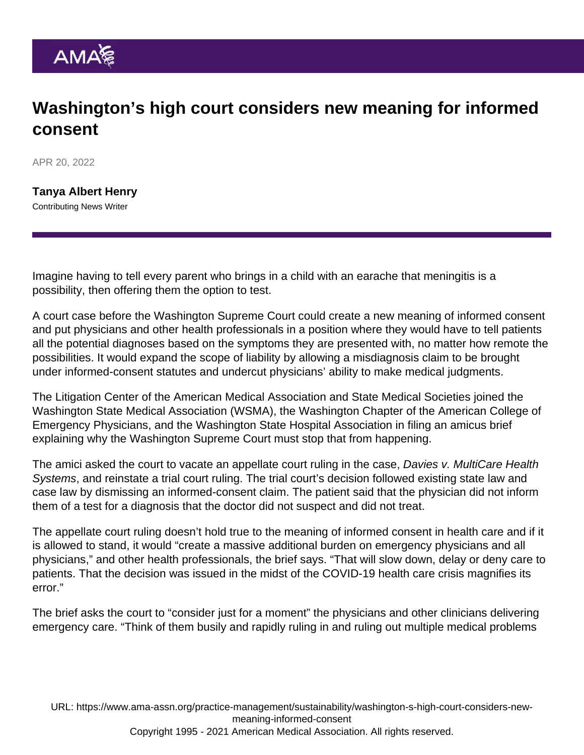## Washington's high court considers new meaning for informed consent

APR 20, 2022

[Tanya Albert Henry](https://www.ama-assn.org/news-leadership-viewpoints/authors-news-leadership-viewpoints/tanya-albert-henry) Contributing News Writer

Imagine having to tell every parent who brings in a child with an earache that meningitis is a possibility, then offering them the option to test.

A court case before the Washington Supreme Court could create a new meaning of informed consent and put physicians and other health professionals in a position where they would have to tell patients all the potential diagnoses based on the symptoms they are presented with, no matter how remote the possibilities. It would expand the scope of liability by allowing a misdiagnosis claim to be brought under informed-consent statutes and undercut physicians' ability to make medical judgments.

The [Litigation Center of the American Medical Association and State Medical Societies](https://www.ama-assn.org/health-care-advocacy/judicial-advocacy) joined the Washington State Medical Association (WSMA), the Washington Chapter of the American College of Emergency Physicians, and the Washington State Hospital Association in filing an amicus brief explaining why the Washington Supreme Court must stop that from happening.

The amici asked the court to vacate an appellate court ruling in the case, Davies v. MultiCare Health Systems, and reinstate a trial court ruling. The trial court's decision followed existing state law and case law by dismissing an informed-consent claim. The patient said that the physician did not inform them of a test for a diagnosis that the doctor did not suspect and did not treat.

The appellate court ruling doesn't hold true to the meaning of informed consent in health care and if it is allowed to stand, it would "create a massive additional burden on emergency physicians and all physicians," and other health professionals, the brief says. "That will slow down, delay or deny care to patients. That the decision was issued in the midst of the COVID-19 health care crisis magnifies its error."

The brief asks the court to "consider just for a moment" the physicians and other clinicians delivering emergency care. "Think of them busily and rapidly ruling in and ruling out multiple medical problems

URL: [https://www.ama-assn.org/practice-management/sustainability/washington-s-high-court-considers-new](https://www.ama-assn.org/practice-management/sustainability/washington-s-high-court-considers-new-meaning-informed-consent)[meaning-informed-consent](https://www.ama-assn.org/practice-management/sustainability/washington-s-high-court-considers-new-meaning-informed-consent)